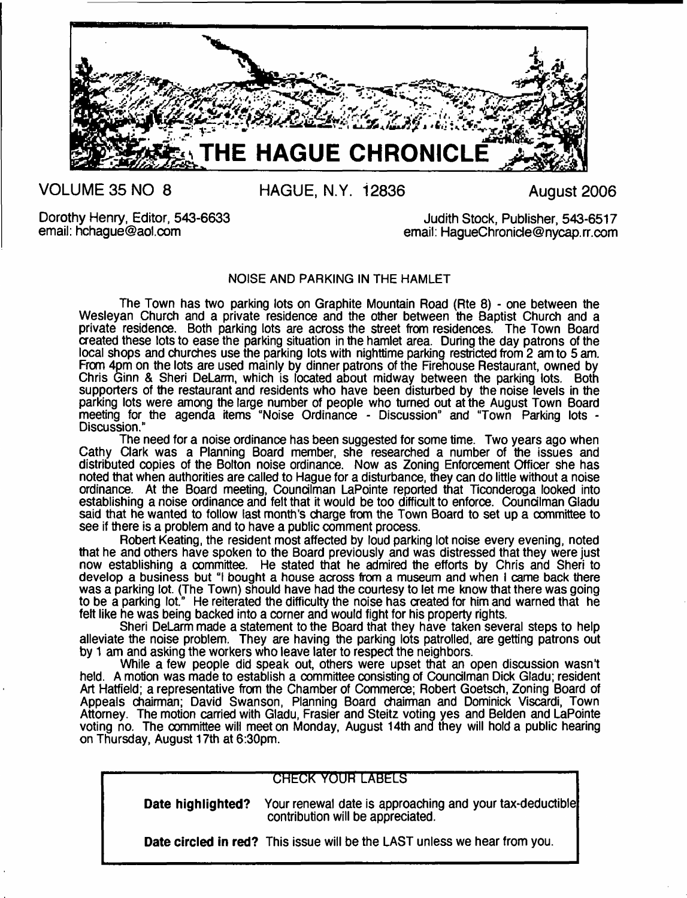

**VOLUME 35 NO 8**

**HAGUE, N.Y. 12836**

**August 2006**

Dorothy Henry, Editor, 543-6633 email: [hchague@aol.com](mailto:hchague@aol.com)

Judith Stock, Publisher, 543-6517 email: [HagueChronide@nycap.rr.com](mailto:HagueChronide@nycap.rr.com)

# NOISE AND PARKING IN THE HAMLET

The Town has two parking lots on Graphite Mountain Road (Rte 8) - one between the Wesleyan Church and a private residence and the other between the Baptist Church and a private residence. Both parking lots are across the street from residences. The Town Board created these lots to ease the parking situation in the hamlet area. During the day patrons of the local shops and churches use the parking lots with nighttime parking restricted from 2 am to 5 am. From 4pm on the lots are used mainly by dinner patrons of the Firehouse Restaurant, owned by Chris Ginn & Sheri DeLarm, which is located about midway between the parking lots. Both supporters of the restaurant and residents who have been disturbed by the noise levels in the parking lots were among the large number of people who turned out at the August Town Board meeting for the agenda items "Noise Ordinance - Discussion" and "Town Parking lots - Discussion."

The need for a noise ordinance has been suggested for some time. Two years ago when Cathy Clark was a Planning Board member, she researched a number of the issues and distributed copies of the Bolton noise ordinance. Now as Zoning Enforcement Officer she has noted that when authorities are called to Hague for a disturbance, they can do little without a noise ordinance. At the Board meeting, Councilman LaPointe reported that Ticonderoga looked into establishing a noise ordinance and felt that it would be too difficult to enforce. Councilman Gladu said that he wanted to follow last month's charge from the Town Board to set up a committee to see if there is a problem and to have a public comment process.

Robert Keating, the resident most affected by loud parking lot noise every evening, noted that he and others have spoken to the Board previously and was distressed that they were just now establishing a committee. He stated that he admired the efforts by Chris and Sheri to develop a business but "I bought a house across from a museum and when I came back there was a parking lot. (The Town) should have had the courtesy to let me know that there was going to be a parking lot." He reiterated the difficulty the noise has created for him and warned that he felt like he was being backed into a corner and would fight for his property rights.

Sheri DeLarm made a statement to the Board that they have taken several steps to help alleviate the noise problem. They are having the parking lots patrolled, are getting patrons out by 1 am and asking the workers who leave later to respect the neighbors.

While a few people did speak out, others were upset that an open discussion wasn't held. A motion was made to establish a committee consisting of Councilman Dick Gladu; resident Art Hatfield; a representative from the Chamber of Commerce; Robert Goetsch, Zoning Board of Appeals chairman; David Swanson, Planning Board chairman and Dominick Viscardi, Town Attorney. The motion carried with Gladu, Frasier and Steitz voting yes and Belden and LaPointe voting no. The committee will meet on Monday, August 14th and they will hold a public hearing on Thursday, August 17th at 6:30pm.

# **CHECK YOUR LABELS**

**Date highlighted?** Your renewal date is approaching and your tax-deductible contribution will be appreciated.

**Date circled in red?** This issue will be the LAST unless we hear from you.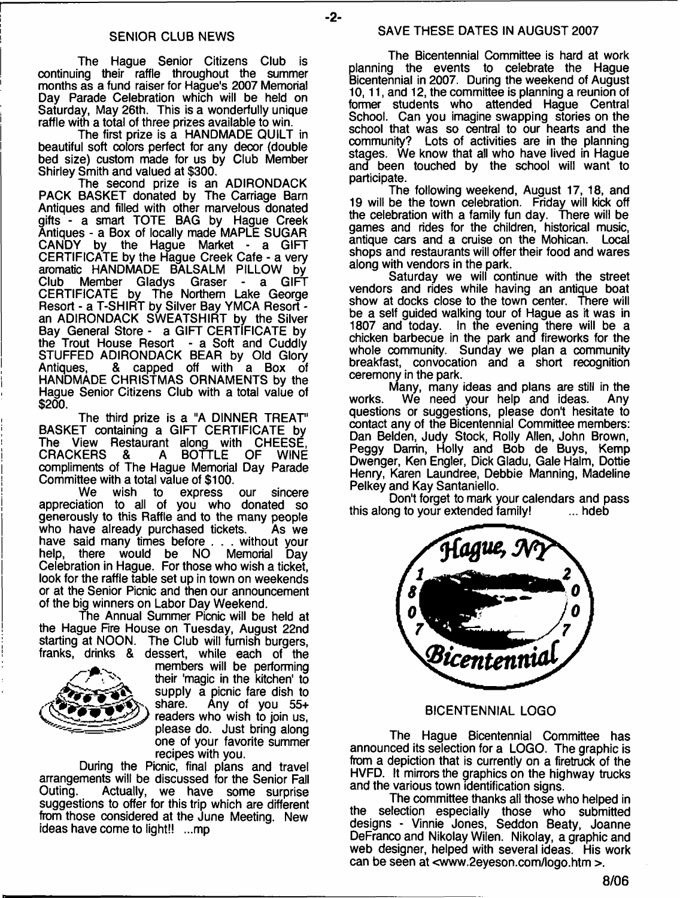The Hague Senior Citizens Club is continuing their raffle throughout the summer months as a fund raiser for Hague's 2007 Memorial Day Parade Celebration which will be held on Saturday, May 26th. This is a wonderfully unique raffle with a total of three prizes available to win.

The first prize is a HANDMADE QUILT in beautiful soft colors perfect for any decor (double bed size) custom made for us by Club Member Shirley Smith and valued at \$300.

The second prize is an ADIRONDACK PACK BASKET donated by The Carriage Barn Antiques and filled with other marvelous donated gifts - a smart TOTE BAG by Hague Creek Antiques - a Box of locally made MAPLE SUGAR CANDY by the Hague Market - a GIFT CERTIFICATE by the Hague Creek Cafe - a very aromatic HANDMADE BALSALM PILLOW by Club Member Gladys Graser - a GIFT CERTIFICATE by The Northern Lake George Resort - a T-SHIRT by Silver Bay YMCA Resort an ADIRONDACK SWEATSHIRT by the Silver Bay General Store - a GIFT CERTIFICATE by the Trout House Resort - a Soft and Cuddly STUFFED ADIRONDACK BEAR by Old Glory Antiques, & capped off with a Box of HANDMADE CHRISTMAS ORNAMENTS by the Hague Senior Citizens Club with a total value of \$200.

The third prize is a "A DINNER TREAT' BASKET containing a GIFT CERTIFICATE by The View Restaurant along with CHEESE, CRACKERS & A BOTTLE OF WINE compliments of The Hague Memorial Day Parade Committee with a total value of \$100.<br>We wish to express

express our sincere appreciation to all of you who donated so generously to this Raffle and to the many people who have already purchased tickets. As we have said many times before . . . without your<br>help, there would be NO Memorial Dav would be NO Memorial Day Celebration in Hague. For those who wish a ticket, look for the raffle table set up in town on weekends or at the Senior Picnic and then our announcement of the big winners on Labor Day Weekend.

The Annual Summer Picnic will be held at the Hague Fire House on Tuesday, August 22nd starting at NOON. The Club will furnish burgers, franks, drinks & dessert, while each of the



members will be performing their 'magic in the kitchen' to supply a picnic fare dish to<br>share. Any of you 55+ Any of you  $55+$ readers who wish to join us, please do. Just bring along one of your favorite summer recipes with you.

During the Picnic, final plans and travel arrangements will be discussed for the Senior Fall Actually, we have some surprise suggestions to offer for this trip which are different from those considered at the June Meeting. New ideas have come to light!! ...mp

#### SAVE THESE DATES IN AUGUST 2007

-2-

The Bicentennial Committee is hard at work planning the events to celebrate the Hague Bicentennial in 2007. During the weekend of August 10,11, and 12, the committee is planning a reunion of former students who attended Hague Central School. Can you imagine swapping stories on the school that was so central to our hearts and the community? Lots of activities are in the planning stages. We know that all who have lived in Hague and been touched by the school will want to participate.

The following weekend, August 17, 18, and 19 will be the town celebration. Friday will kick off the celebration with a family fun day. There will be games and rides for the children, historical music, antique cars and a cruise on the Mohican. Local shops and restaurants will offer their food and wares along with vendors in the park.

Saturday we will continue with the street vendors and rides while having an antique boat show at docks close to the town center. There will be a self guided walking tour of Hague as it was in<br>1807 and today. In the evening there will be a In the evening there will be a chicken barbecue in the park and fireworks for the whole community. Sunday we plan a community breakfast, convocation and a short recognition ceremony in the park.

Many, many ideas and plans are still in the works. We need your help and ideas. questions or suggestions, please don't hesitate to contact any of the Bicentennial Committee members: Dan Belden, Judy Stock, Roily Allen, John Brown, Peggy Darrin, Holly and Bob de Buys, Kemp Dwenger, Ken Engler, Dick Gladu, Gale Halm, Dottie Henry, Karen Laundree, Debbie Manning, Madeline Pelkey and Kay Santaniello.

Don't forget to mark your calendars and pass<br>ng to your extended family!<br>... hdeb this along to your extended family!



#### BICENTENNIAL LOGO

The Hague Bicentennial Committee has announced its selection for a LOGO. The graphic is from a depiction that is currently on a firetruck of the HVFD. It mirrors the graphics on the highway trucks and the various town identification signs.

The committee thanks all those who helped in the selection especially those who submitted designs - Vinnie Jones, Seddon Beaty, Joanne DeFranco and Nikolay Wilen. Nikolay, a graphic and web designer, helped with several ideas. His work can be seen at [<www.2eyeson.com/logo.htm >](http://www.2eyeson.com/logo.htm).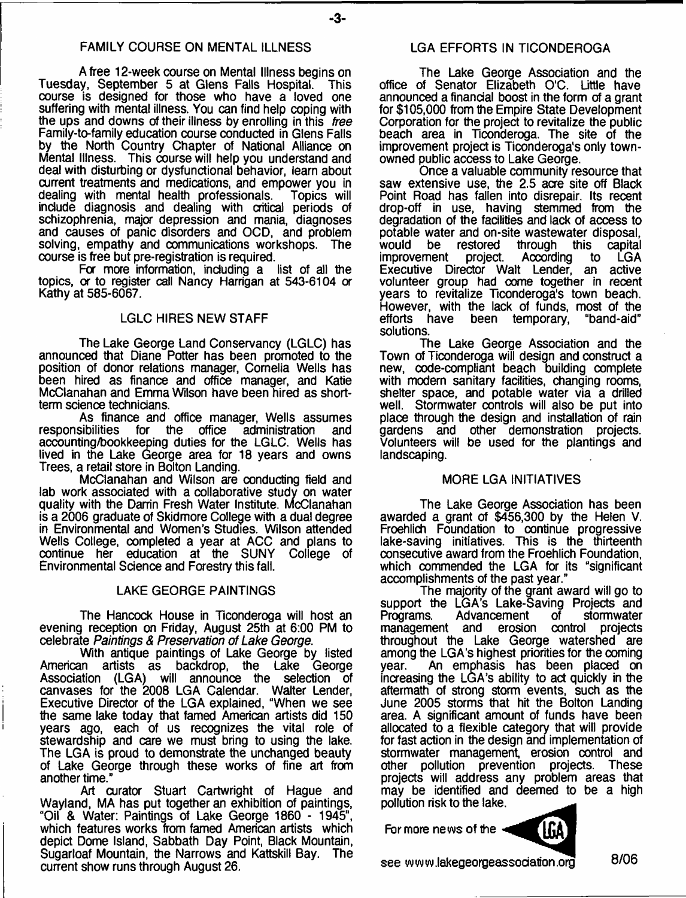### FAMILY COURSE ON MENTAL ILLNESS

A free 12-week course on Mental Illness begins on<br>w. September 5 at Glens Falls Hospital. This Tuesday, September 5 at Glens Falls Hospital. course is designed for those who have a loved one suffering with mental illness. You can find help coping with the ups and downs of their illness by enrolling in this *free* Family-to-family education course conducted in Glens Falls by the North Country Chapter of National Alliance on Mental Illness. This course will help you understand and deal with disturbing or dysfunctional behavior, learn about current treatments and medications, and empower you in dealing with mental health professionals. Topics will dealing with mental health professionals. include diagnosis and dealing with critical periods of schizophrenia, major depression and mania, diagnoses and causes of panic disorders and OCD, and problem solving, empathy and communications workshops. The course is free but pre-registration is required.

For more information, including a list of all the topics, *or* to register call Nancy Harrigan at 543-6104 *or* Kathy at 585-6067.

#### LGLC HIRES NEW STAFF

The Lake George Land Conservancy (LGLC) has announced that Diane Potter has been promoted to the position of donor relations manager, Cornelia Wells has been hired as finance and office manager, and Katie McClanahan and Emma Wilson have been hired as shortterm science technicians.

As finance and office manager, Wells assumes<br>responsibilities for the office administration and for the office administration and accounting/bookkeeping duties for the LGLC. Wells has lived in the Lake George area for 18 years and owns Trees, a retail store in Bolton Landing.

McClanahan and Wilson are conducting field and lab work associated with a collaborative study on water quality with the Darrin Fresh Water Institute. McClanahan is a 2006 graduate of Skidmore College with a dual degree in Environmental and Women's Studies. Wilson attended Wells College, completed a year at ACC and plans to continue her education at the SUNY College of continue her education at the SUNY Environmental Science and Forestry this fall.

#### LAKE GEORGE PAINTINGS

The Hancock House in Ticonderoga will host an evening reception on Friday, August 25th at 6:00 PM to celebrate *Paintings & Presen/ation of Lake George*.

With antique paintings of Lake George by listed<br>American artists as backdrop, the Lake George artists as backdrop, the Lake George Association (LGA) will announce the selection of canvases for the 2008 LGA Calendar. Executive Director of the LGA explained, "When we see the same lake today that famed American artists did 150 years ago, each of us recognizes the vital role of stewardship and care we must bring to using the lake. The LGA is proud to demonstrate the unchanged beauty of Lake George through these works of fine art from another time."

Art curator Stuart Cartwright of Hague and Wayland, MA has put together an exhibition of paintings, "Oil & Water: Paintings of Lake George 1860 - 1945", which features works from famed American artists which depict Dome Island, Sabbath Day Point, Black Mountain, Sugarloaf Mountain, the Narrows and Kattskill Bay. The current show runs through August 26.

#### LGA EFFORTS IN TICONDEROGA

The Lake George Association and the office of Senator Elizabeth O'C. Little have announced a financial boost in the form of a grant for \$105,000 from the Empire State Development Corporation for the project to revitalize the public beach area in Ticonderoga. The site of the improvement project is Ticonderoga's only townowned public access to Lake George.

Once a valuable community resource that saw extensive use, the 2.5 acre site off Black Point Road has fallen into disrepair. Its recent drop-off in use, having stemmed from the degradation of the facilities and lack of access to potable water and on-site wastewater disposal, restored through this capital<br>project. According to LGA improvement project. According to LGA<br>Executive Director Walt Lender an active Executive Director Walt Lender, volunteer group had come together in recent years to revitalize Ticonderoga's town beach. However, with the lack of funds, most of the efforts have been temporary, solutions.

The Lake George Association and the Town of Ticonderoga will design and construct a new, code-compliant beach building complete with modern sanitary facilities, changing rooms, shelter space, and potable water via a drilled well. Stormwater controls will also be put into place through the design and installation of rain gardens and other demonstration projects. Volunteers will be used for the plantings and landscaping.

#### MORE LGA INITIATIVES

The Lake George Association has been awarded a grant of \$456,300 by the Helen V. Froehlich Foundation to continue progressive lake-saving initiatives. This is the thirteenth consecutive award from the Froehlich Foundation, which commended the LGA for its "significant accomplishments of the past year."

The majority of the grant award will go to support the LGA's Lake-Saving Projects and<br>Programs. Advancement of stormwater Advancement management and erosion control projects throughout the Lake George watershed are among the LGA's highest priorities for the coming year. An emphasis has been placed on increasing the LGA's ability to act quickly in the aftermath of strong storm events, such as the June 2005 storms that hit the Bolton Landing area. A significant amount of funds have been allocated to a flexible category that will provide for fast action in the design and implementation of stormwater management, erosion control and other pollution prevention projects. These projects will address any problem areas that may be identified and deemed to be a high pollution risk to the lake.

For more news of the



see [www.lakegeorgeassodaiion.org](http://www.lakegeorgeassodaiion.org) **8/06**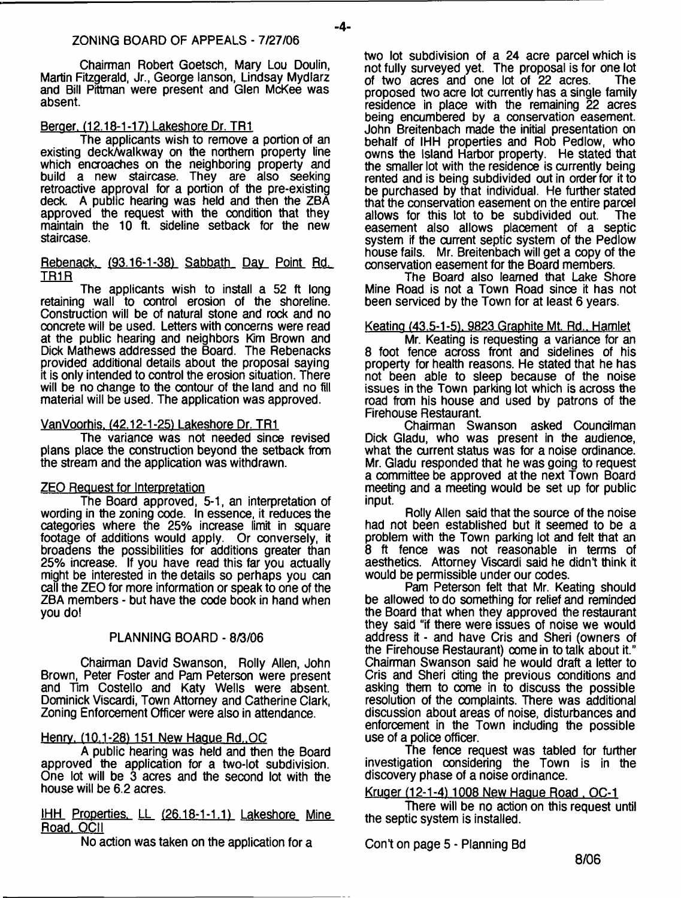Chairman Robert Goetsch, Mary Lou Doulin, Martin Fitzgerald, Jr., George lanson, Lindsay Mydlarz and Bill Pittman were present and Glen McKee was absent.

# Beroer. (12.18-1-17) Lakeshore Dr. TR1

The applicants wish to remove a portion of an existing deck/walkway on the northern property line which encroaches on the neighboring property and build a new staircase. They are also seeking retroactive approval for a portion of the pre-existing deck. A public hearing was held and then the ZBA approved the request with the condition that they maintain the 10 ft. sideline setback for the new staircase.

#### Rebenack. (93.16-1-38) Sabbath Day Point Rd. TR1R

The applicants wish to install a 52 ft long retaining wall to control erosion of the shoreline. Construction will be of natural stone and rock and no concrete will be used. Letters with concerns were read at the public hearing and neighbors Kim Brown and Dick Mathews addressed the Board. The Rebenacks provided additional details about the proposal saying it is only intended to control the erosion situation. There will be no change to the contour of the land and no fill material will be used. The application was approved.

# VanVoorhis. (42.12-1-25) Lakeshore Dr. TR1

The variance was not needed since revised plans place the construction beyond the setback from the stream and the application was withdrawn.

# ZEO Request for Interpretation

The Board approved, 5-1, an interpretation of wording in the zoning code. In essence, it reduces the categories where the 25% increase limit in square footage of additions would apply. Or conversely, it broadens the possibilities for additions greater than 25% increase. If you have read this far you actually might be interested in the details so perhaps you can call the ZEO for more information or speak to one of the ZBA members - but have the code book in hand when you do!

# PLANNING BOARD - 8/3/06

Chairman David Swanson, Roily Allen, John Brown, Peter Foster and Pam Peterson were present and Tim Costello and Katy Wells were absent. Dominick Viscardi, Town Attorney and Catherine Clark, Zoning Enforcement Officer were also in attendance.

# Henry. (10.1-28) 151 New Hague Rd. OC

A public hearing was held and then the Board approved the application for a two-lot subdivision. One lot will be 3 acres and the second lot with the house will be 6.2 acres.

IHH Properties. LL (26.18-1-1.1) Lakeshore Mine Road. OCII

No action was taken on the application for a

two lot subdivision of a 24 acre parcel which is not fully surveyed yet. The proposal is for one lot of two acres and one lot of 22 acres. The of two  $a$  cres and one lot of  $22$  acres. proposed two acre lot currently has a single family residence in place with the remaining 22 acres being encumbered by a conservation easement. John Breitenbach made the initial presentation on behalf of IHH properties and Rob Pedlow, who owns the Island Harbor property. He stated that the smaller lot with the residence is currently being rented and is being subdivided out in order for it to be purchased by that individual. He further stated that the conservation easement on the entire parcel<br>allows for this lot to be subdivided out. The allows for this lot to be subdivided out. easement also allows placement of a septic system if the current septic system of the Pedlow house fails. Mr. Breitenbach will get a copy of the conservation easement for the Board members.

The Board also learned that Lake Shore Mine Road is not a Town Road since it has not been serviced by the Town for at least 6 years.

# Keatino (43.5-1-51. 9823 Graphite Mt. Rd.. Hamlet

Mr. Keating is requesting a variance for an 8 foot fence across front and sidelines of his property for health reasons. He stated that he has not been able to sleep because of the noise issues in the Town parking lot which is across the road from his house and used by patrons of the Firehouse Restaurant.

Chairman Swanson asked Councilman Dick Gladu, who was present in the audience, what the current status was for a noise ordinance. Mr. Gladu responded that he was going to request a committee be approved at the next Town Board meeting and a meeting would be set up for public input.

Roily Allen said that the source of the noise had not been established but it seemed to be a problem with the Town parking lot and felt that an 8 ft fence was not reasonable in terms of aesthetics. Attorney Viscardi said he didn't think it would be permissible under our codes.

Pam Peterson felt that Mr. Keating should be allowed to do something for relief and reminded the Board that when they approved the restaurant they said "if there were issues of noise we would address it - and have Cris and Sheri (owners of the Firehouse Restaurant) come in to talk about it." Chairman Swanson said he would draft a letter to Cris and Sheri citing the previous conditions and asking them to come in to discuss the possible resolution of the complaints. There was additional discussion about areas of noise, disturbances and enforcement in the Town including the possible use of a police officer.

The fence request was tabled for further investigation considering the Town is in the discovery phase of a noise ordinance.

# Kruger (12-1-41 1008 New Hague Road . OC-1

There will be no action on this request until the septic system is installed.

Cont on page 5 - Planning Bd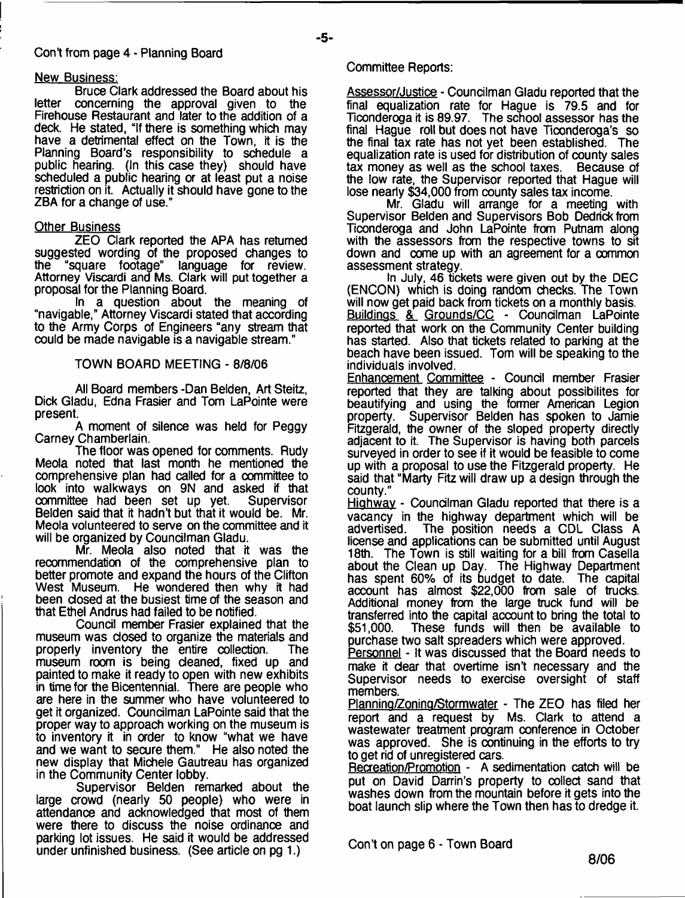# Cont from page 4 - Planning Board

#### New Business:

Bruce Clark addressed the Board about his letter concerning the approval given to the Firehouse Restaurant and later to the addition of a deck. He stated, "If there is something which may have a detrimental effect on the Town, it is the Planning Board's responsibility to schedule a public hearing. (In this case they) should have scheduled a public hearing or at least put a noise restriction on it. Actually it should have gone to the ZBA for a change of use."

#### **Other Business**

ZEO Clark reported the APA has returned suggested wording of the proposed changes to "square footage" language for review. Attorney Viscardi and Ms. Clark will put together a proposal for the Planning Board.

In a question about the meaning of "navigable," Attorney Viscardi stated that according to the Army Corps of Engineers "any stream that could be made navigable is a navigable stream."

### TOWN BOARD MEETING - 8/8/06

All Board members -Dan Belden, Art Steitz, Dick Gladu, Edna Frasier and Tom LaPointe were present.

A moment of silence was held for Peggy Carney Chamberlain.

The floor was opened for comments. Rudy Meola noted that last month he mentioned the comprehensive plan had called for a committee to look into walkways on 9N and asked if that<br>committee had been set up yet. Supervisor committee had been set up yet. Belden said that it hadn't but that it would be. Mr. Meola volunteered to serve on the committee and it will be organized by Councilman Gladu.

Mr. Meola also noted that it was the recommendation of the comprehensive plan to better promote and expand the hours of the Clifton West Museum. He wondered then why it had been closed at the busiest time of the season and that Ethel Andrus had failed to be notified.

Council member Frasier explained that the museum was closed to organize the materials and properly inventory the entire collection. The properly inventory the entire collection. museum room is being cleaned, fixed up and painted to make it ready to open with new exhibits in time for the Bicentennial. There are people who are here in the summer who have volunteered to get it organized. Councilman LaPointe said that the proper way to approach working on the museum is to inventory it in order to know "what we have and we want to secure them." He also noted the new display that Michele Gautreau has organized in the Community Center lobby.

Supervisor Belden remarked about the large crowd (nearly 50 people) who were in attendance and acknowledged that most of them were there to discuss the noise ordinance and parking lot issues. He said it would be addressed under unfinished business. (See article on pg 1.)

#### Committee Reports:

Assessor/Justice - Councilman Gladu reported that the final equalization rate for Hague is 79.5 and for Ticonderoga it is 89.97. The school assessor has the final Hague roll but does not have Ticonderoga's so the final tax rate has not yet been established. The equalization rate is used for distribution of county sales tax money as well as the school taxes. Because of the low rate, the Supervisor reported that Hague will lose nearly \$34,000 from county sales tax income.

Mr. Gladu will arrange for a meeting with Supervisor Belden and Supervisors Bob Dedrick from Ticonderoga and John LaPointe from Putnam along with the assessors from the respective towns to sit down and come up with an agreement for a common assessment strategy.

In July, 46 tickets were given out by the DEC (ENCON) which is doing random checks. The Town will now get paid back from tickets on a monthly basis. Buildings & Grounds/CC - Councilman LaPointe reported that work on the Community Center building has started. Also that tickets related to parking at the beach have been issued. Tom will be speaking to the individuals involved.

Enhancement Committee - Council member Frasier reported that they are talking about possibilites for beautifying and using the former American Legion<br>property. Supervisor Belden has spoken to Jamie Supervisor Belden has spoken to Jamie Fitzgerald, the owner of the sloped property directly adjacent to it. The Supervisor is having both parcels surveyed in order to see if it would be feasible to come up with a proposal to use the Fitzgerald property. He said that "Marty Fitz will draw up a design through the county."

Highway - Councilman Gladu reported that there is a vacancy in the highway department which will be advertised. The position needs a CDL Class A The position needs a CDL Class A license and applications can be submitted until August 18th. The Town is still waiting for a bill from Casella about the Clean up Day. The Highway Department has spent  $60\%$  of its budget to date. account has almost \$22,000 from sale of trucks. Additional money from the large truck fund will be transferred into the capital account to bring the total to \$51,000. These funds will then be available to These funds will then be available to purchase two salt spreaders which were approved.

Personnel - It was discussed that the Board needs to make it dear that overtime isn't necessary and the Supervisor needs to exercise oversight of staff members.

Plannino/Zonino/Stormwater - The ZEO has filed her report and a request by Ms. Clark to attend a wastewater treatment program conference in October was approved. She is continuing in the efforts to try to get rid of unregistered cars.

Recreation/Promotion - A sedimentation catch will be put on David Darrin's property to collect sand that washes down from the mountain before it gets into the boat launch slip where the Town then has to dredge it.

Con't on page 6 - Town Board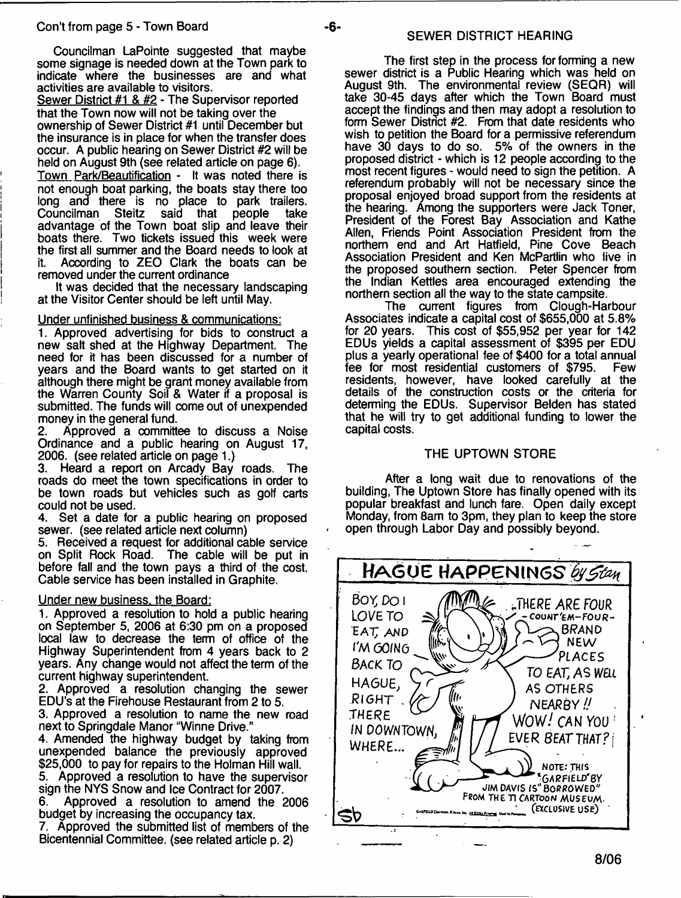Councilman LaPointe suggested that maybe some signage is needed down at the Town park to indicate where the businesses are and what activities are available to visitors.

Sewer District #1 & #2 - The Supervisor reported that the Town now will not be taking over the ownership of Sewer District #1 until December but the insurance is in place for when the transfer does occur. A public hearing on Sewer District #2 will be held on August 9th (see related article on page 6).

Town Park/Beautification - It was noted there is not enough boat parking, the boats stay there too long and there is no place to park trailers.<br>Councilman Steitz said that people take that people advantage of the Town boat slip and leave their boats there. Two tickets issued this week were the first all summer and the Board needs to look at it. According to ZEO Clark the boats can be removed under the current ordinance

It was decided that the necessary landscaping at the Visitor Center should be left until May.

#### Under unfinished business & communications:

1. Approved advertising for bids to construct a new salt shed at the Highway Department. The need for it has been discussed for a number of years and the Board wants to get started on it although there might be grant money available from the Warren County Soil & Water if a proposal is submitted. The funds will come out of unexpended money in the general fund.

2. Approved a committee to discuss a Noise Ordinance and a public hearing on August 17, 2006. (see related article on page 1.)

3. Heard a report on Arcady Bay roads. The roads do meet the town specifications in order to be town roads but vehicles such as golf carts could not be used.

4. Set a date for a public hearing on proposed sewer, (see related article next column)

5. Received a request for additional cable service on Split Rock Road. The cable will be put in before fall and the town pays a third of the cost. Cable service has been installed in Graphite.

#### Under new business, the Board:

1. Approved a resolution to hold a public hearing on September 5, 2006 at 6:30 pm on a proposed local law to decrease the term of office of the Highway Superintendent from 4 years back to 2 years. Any change would not affect the term of the current highway superintendent.

2. Approved a resolution changing the sewer EDU's at the Firehouse Restaurant from 2 to 5.

3. Approved a resolution to name the new road next to Springdale Manor "Winne Drive."

4. Amended the highway budget by taking from unexpended balance the previously approved \$25,000 to pay for repairs to the Holman Hill wall.

5. Approved a resolution to have the supervisor sign the NYS Snow and Ice Contract for 2007.

6. Approved a resolution to amend the 2006 budget by increasing the occupancy tax.

7. Approved the submitted list of members of the Bicentennial Committee, (see related article p. 2)

The first step in the process for forming a new sewer district is a Public Hearing which was held on August 9th. The environmental review (SEQR) will take 30-45 days after which the Town Board must accept the findings and then may adopt a resolution to form Sewer District #2. From that date residents who wish to petition the Board for a permissive referendum have 30 days to do so. 5% of the owners in the proposed district - which is 12 people according to the most recent figures - would need to sign the petition. A referendum probably will not be necessary since the proposal enjoyed broad support from the residents at the hearing. Among the supporters were Jack Toner, President of the Forest Bay Association and Kathe Allen, Friends Point Association President from the northern end and Art Hatfield, Pine Cove Beach Association President and Ken McPartlin who live in the proposed southern section. Peter Spencer from the Indian Kettles area encouraged extending the northern section all the way to the state campsite.

The current figures from Clough-Harbour Associates indicate a capital cost of \$655,000 at 5.8% for 20 years. This cost of \$55,952 per year for 142 EDUs yields a capital assessment of \$395 per EDU plus a yearly operational fee of \$400 for a total annual<br>fee for most residential customers of \$795. Few fee for most residential customers of \$795. residents, however, have looked carefully at the details of the construction costs or the criteria for determing the EDUs. Supervisor Belden has stated that he will try to get additional funding to lower the capital costs.

### THE UPTOWN STORE

After a long wait due to renovations of the building, The Uptown Store has finally opened with its popular breakfast and lunch fare. Open daily except Monday, from 8am to 3pm, they plan to keep the store open through Labor Day and possibly beyond.

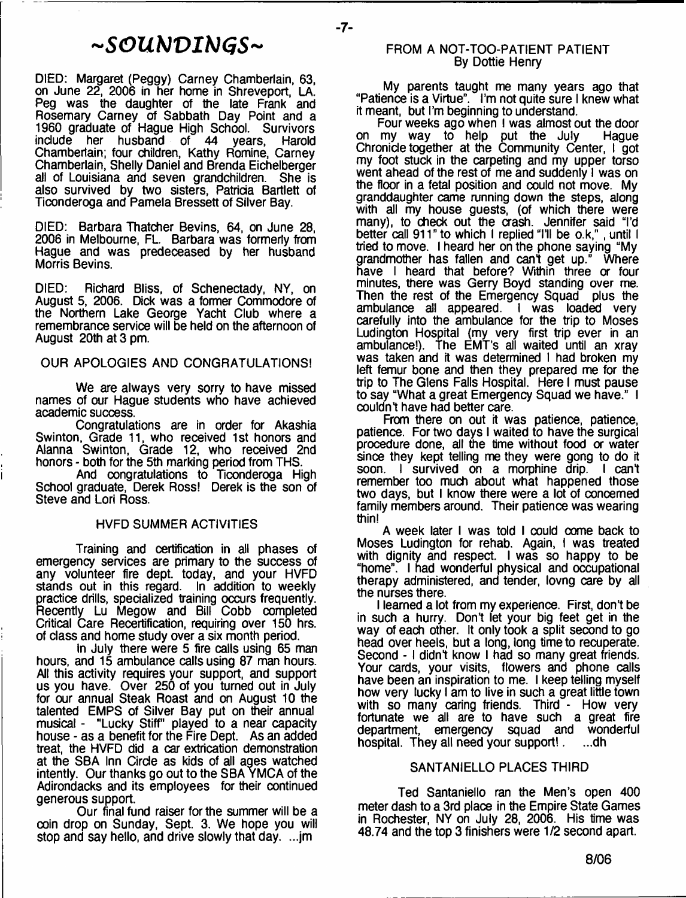# *~SOUbJVIhJGS~*

DIED: Margaret (Peggy) Carney Chamberlain, 63, on June 22, 2006 in her home in Shreveport, LA. Peg was the daughter of the late Frank and Rosemary Carney of Sabbath Day Point and a 1960 graduate of Hague High School. Survivors include her husband of 44 years, Harold Chamberlain; four children, Kathy Romine, Carney Chamberlain, Shelly Daniel and Brenda Eichelberger all of Louisiana and seven grandchildren. She is also survived by two sisters, Patricia Bartlett of Ticonderoga and Pamela Bressett of Silver Bay.

DIED: Barbara Thatcher Bevins, 64, on June 28, 2006 in Melbourne, FL. Barbara was formerly from Hague and was predeceased by her husband Morris Bevins.

DIED: Richard Bliss, of Schenectady, NY, on August 5, 2006. Dick was a former Commodore of the Northern Lake George Yacht Club where a remembrance service will be held on the afternoon of August 20th at 3 pm.

#### OUR APOLOGIES AND CONGRATULATIONS!

We are always very sorry to have missed names of our Hague students who have achieved academic success.

Congratulations are in order for Akashia Swinton, Grade 11, who received 1st honors and Alanna Swinton, Grade 12, who received 2nd honors - both for the 5th marking period from THS.

And congratulations to Ticonderoga High School graduate, Derek Ross! Derek is the son of Steve and Lori Ross.

#### HVFD SUMMER ACTIVITIES

Training and certification in all phases of emergency services are primary to the success of any volunteer fire dept, today, and your HVFD stands out in this regard. In addition to weekly practice drills, specialized training occurs frequently. Recently Lu Megow and Bill Cobb completed Critical Care Recertification, requiring over 150 hrs. of class and home study over a six month period.

In July there were 5 fire calls using 65 man hours, and 15 ambulance calls using 87 man hours. All this activity requires your support, and support us you have. Over 250 of you turned out in July for our annual Steak Roast and on August 10 the talented EMPS of Silver Bay put on their annual musical - "Lucky Stiff' played to a near capacity house - as a benefit for the Fire Dept. As an added treat, the HVFD did a car extrication demonstration at the SBA Inn Circle as kids of all ages watched intently. Our thanks go out to the SBA YMCA of the Adirondacks and its employees for their continued generous support.

Our final fund raiser for the summer will be a coin drop on Sunday, Sept. 3. We hope you will stop and say hello, and drive slowly that day. ...jm

#### FROM A NOT-TOO-PATIENT PATIENT By Dottie Henry

 $-7-$ 

My parents taught me many years ago that "Patience is a Virtue". I'm not quite sure I knew what it meant, but I'm beginning to understand.

Four weeks ago when I was almost out the door on my way to help put the July Hague Chronicle together at the Community Center, I got my foot stuck in the carpeting and my upper torso went ahead of the rest of me and suddenly I was on the floor in a fetal position and could not move. My granddaughter came running down the steps, along with all my house guests, (of which there were many), to check out the crash. Jennifer said "I'd better call 911" to which I replied "I'll be o.k,", until I tried to move. I heard her on the phone saying "My grandmother has fallen and can't get up." Where grandmother has fallen and can't get up." have I heard that before? Within three or four minutes, there was Gerry Boyd standing over me. Then the rest of the Emergency Squad plus the ambulance all appeared. I was loaded very carefully into the ambulance for the trip to Moses Ludington Hospital (my very first trip ever in an ambulance!). The EMT's all waited until an xray was taken and it was determined I had broken my left femur bone and then they prepared me for the trip to The Glens Falls Hospital. Here I must pause to say "What a great Emergency Squad we have." I couldn't have had better care.

From there on out it was patience, patience, patience. For two days I waited to have the surgical procedure done, all the time without food or water since they kept telling me they were gong to do it soon. I survived on a morphine drip. I can't remember too much about what happened those two days, but I know there were a lot of concerned family members around. Their patience was wearing thin!

A week later I was told I could come back to Moses Ludington for rehab. Again, I was treated with dignity and respect. I was so happy to be "home". I had wonderful physical and occupational therapy administered, and tender, lovng care by all the nurses there.

I learned a lot from my experience. First, don't be in such a hurry. Don't let your big feet get in the way of each other. It only took a split second to go head over heels, but a long, long time to recuperate. Second - I didn't know I had so many great friends. Your cards, your visits, flowers and phone calls have been an inspiration to me. I keep telling myself how very lucky I am to live in such a great little town with so many caring friends. Third - How very fortunate we all are to have such a great fire department, emergency squad and wonderful hospital. They all need your support! . ...dh

#### SANTANIELLO PLACES THIRD

Ted Santaniello ran the Men's open 400 meter dash to a 3rd place in the Empire State Games in Rochester, NY on July 28, 2006. His time was 48.74 and the top 3 finishers were 1/2 second apart.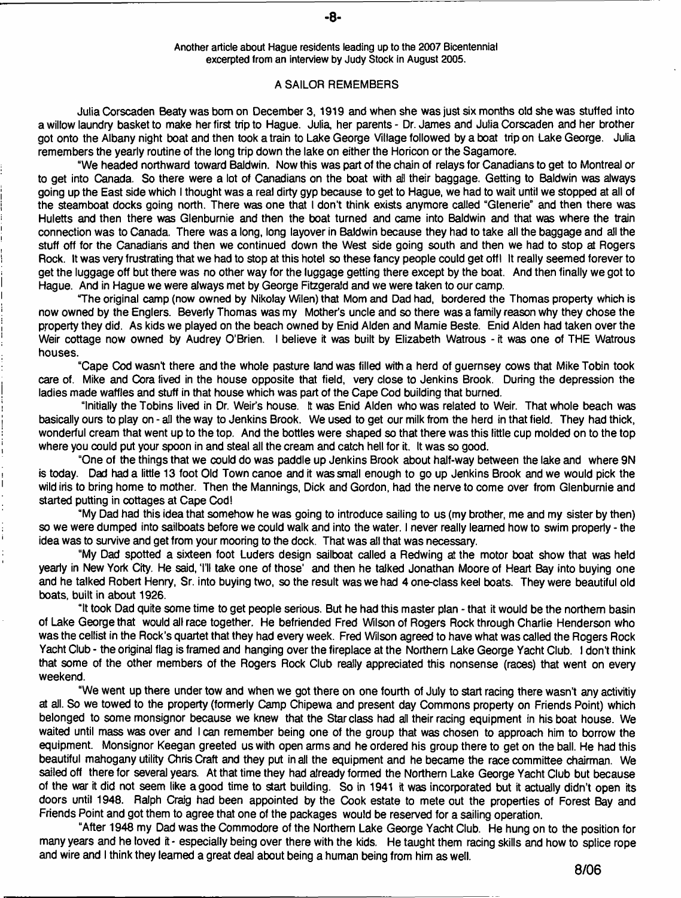**Another article about Hague residents leading up to the 2007 Bicentennial excerpted from an interview by Judy Stock in August 2005.**

#### **A SAILOR REMEMBERS**

**Julia Corscaden Beaty was bom on December 3, 1919 and when she was just six months old she was stuffed into a willow laundry basket to make her first trip to Hague. Julia her parents - Dr. James and Julia Corscaden and her brother got onto the Albany night boat and then took a train to Lake George Village followed by a boat trip on Lake George. Julia remembers the yearly routine of the long trip down the lake on either the Horicon or the Sagamore.**

**"We headed northward toward Baldwin. Now this was part of the chain of relays for Canadians to get to Montreal or to get into Canada. So there were a lot of Canadians on the boat with ail their baggage. Getting to Baldwin was always going up the East side which I thought was a real dirty gyp because to get to Hague, we had to wait until we stopped at all of the steamboat docks going north. There was one that I don't think exists anymore called "Glenerie" and then there was Huletts and then there was Glenburnie and then the boat turned and came into Baldwin and that was where the train connection was to Canada. There was a long, long layover in Baldwin because they had to take all the baggage and all the stuff off for the Canadians and then we continued down the West side going south and then we had to stop at Rogers Rock. It was very frustrating that we had to stop at this hotel so these fancy people could get off I It really seemed forever to get the luggage off but there was no other way for the luggage getting there except by the boat. And then finally we got to Hague. And in Hague we were always met by George Fitzgerald and we were taken to our camp.**

**"The original camp (now owned by Nikolay Wilen) that Mom and Dad had, bordered the Thomas property which is now owned by the Englers. Beverly Thomas was my Mother's uncle and so there was a family reason why they chose the property they did. As kids we played on the beach owned by Enid Alden and Mamie Beste. Enid Alden had taken over the Weir cottage now owned by Audrey O'Brien. I believe it was built by Elizabeth Watrous - it was one of THE Watrous houses.**

**"Cape Cod wasn't there and the whole pasture land was filled with a herd of guernsey cows that Mike Tobin took care of. Mike and Cora lived in the house opposite that field, very close to Jenkins Brook. During the depression the ladies made waffles and stuff in that house which was part of the Cape Cod building that burned.**

**"Initially the Tobins lived in Dr. Weir's house. It was Enid Alden who was related to Weir. That whole beach was basically ours to play on - all the way to Jenkins Brook. We used to get our milk from the herd in that field. They had thick, wonderful cream that went up to the top. And the bottles were shaped so that there was this little cup molded on to the top where you could put your spoon in and steal all the cream and catch hell for it. It was so good.**

**"One of the things that we could do was paddle up Jenkins Brook about half-way between the lake and where 9N is today. Dad had a little 13 foot Old Town canoe and it was small enough to go up Jenkins Brook and we would pick the wild iris to bring home to mother. Then the Mannings, Dick and Gordon, had the nerve to come over from Glenburnie and started putting in cottages at Cape Cod!**

**"My Dad had this idea that somehow he was going to introduce sailing to us (my brother, me and my sister by then) so we were dumped into sailboats before we could walk and into the water. I never really learned how to swim properly - the idea was to survive and get from your mooring to the dock. That was all that was necessary.**

**"My Dad spotted a sixteen foot Luders design sailboat called a Redwing at the motor boat show that was held** yearly in New York City. He said, 'I'll take one of those' and then he talked Jonathan Moore of Heart Bay into buying one **and he talked Robert Henry, Sr. into buying two, so the result was we had 4 one-class keel boats. They were beautiful old boats, built in about 1926.**

**"It took Dad quite some time to get people serious. But he had this master plan - that it would be the northern basin of Lake George that would all race together. He befriended Fred Wilson of Rogers Rock through Charlie Henderson who was the cellist in the Rock's quartet that they had every week. Fred Wilson agreed to have what was called the Rogers Rock Yacht Club - the original flag is framed and hanging over the fireplace at the Northern Lake George Yacht Club. I don't think that some of the other members of the Rogers Rock Club really appreciated this nonsense (races) that went on every weekend.**

**"We went up there under tow and when we got there on one fourth of July to start racing there wasn't any activitiy at all. So we towed to the property (formerly Camp Chipewa and present day Commons property on Friends Point) which belonged to some monsignor because we knew that the Star class had all their racing equipment in his boat house. We waited until mass was over and I can remember being one of the group that was chosen to approach him to borrow the equipment. Monsignor Keegan greeted us with open arms and he ordered his group there to get on the ball. He had this beautiful mahogany utility Chris Craft and they put in all the equipment and he became the race committee chairman. We sailed off there for several years. At that time they had already formed the Northern Lake George Yacht Club but because of the war it did not seem like a good time to start building. So in 1941 it was incorporated but it actually didn't open its doors until 1948. Ralph Craig had been appointed by the Cook estate to mete out the properties of Forest Bay and Friends Point and got them to agree that one of the packages would be reserved for a sailing operation.**

**"After 1948 my Dad was the Commodore of the Northern Lake George Yacht Club. He hung on to the position for many years and he loved it - especially being over there with the kids. He taught them racing skills and how to splice rope and wire and I think they learned a great deal about being a human being from him as well.**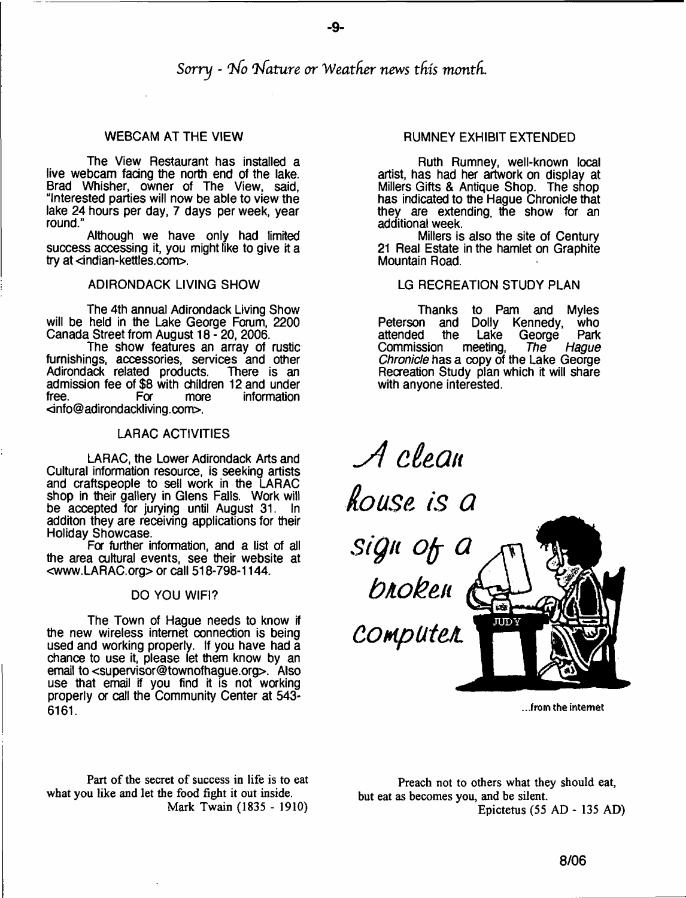-9-

The View Restaurant has installed a live webcam facing the north end of the lake. Brad Whisher, owner of The View, said, "Interested parties will now be able to view the lake 24 hours per day, 7 days per week, year round."

Although we have only had limited success accessing it, you might like to give it a try at <indian-kettles.com>.

#### ADIRONDACK LIVING SHOW

The 4th annual Adirondack Living Show will be held in the Lake George Forum, 2200 Canada Street from August 18-20, 2006.

The show features an array of rustic furnishings, accessories, services and other<br>Adirondack related products. There is an Adirondack related products. admission fee of \$8 with children 12 and under<br>free. For more information information [<info@adirondackliving.com>](mailto:info@adirondackliving.com).

#### LARAC ACTIVITIES

LARAC, the Lower Adirondack Arts and Cultural information resource, is seeking artists and craftspeople to sell work in the LARAC shop in their gallery in Glens Falls. Work will be accepted for jurying until August 31. In additon they are receiving applications for their Holiday Showcase.

For further information, and a list of all the area cultural events, see their website at [<www.LARAC.org](http://www.LARAC.org)> or call 518-798-1144.

#### DO YOU WIFI?

The Town of Hague needs to know if the new wireless internet connection is being used and working properly. If you have had a chance to use it, please let them know by an email to <[supervisor@townofhague.org>](mailto:supervisor@townofhague.org). Also use that email if you find it is not working properly or call the Community Center at 543-6161.

Part of the secret of success in life is to eat what you like and let the food fight it out inside. Mark Twain (1835 - 1910)

# WEBCAM AT THE VIEW **RUMNEY EXHIBIT EXTENDED**

Ruth Rumney, well-known local artist, has had her artwork on display at Millers Gifts & Antique Shop. The shop has indicated to the Hague Chronicle that they are extending, the show for an additional week.

Millers is also the site of Century 21 Real Estate in the hamlet on Graphite Mountain Road.

#### LG RECREATION STUDY PLAN

Thanks to Pam and Myles Peterson and Dolly Kennedy, who<br>attended the Lake George Park attended the Lake Georg<br>Commission meeting, The Commission meeting, *The Hague Chronicle* has a copy of the Lake George Recreation Study plan which it will share with anyone interested.

*-A cieQn louse is Q Sign ojj Q bio ben* **JUDY** *Computet*

**...from the internet**

Preach not to others what they should eat, but eat as becomes you, and be silent. Epictetus (55 AD - 135 AD)